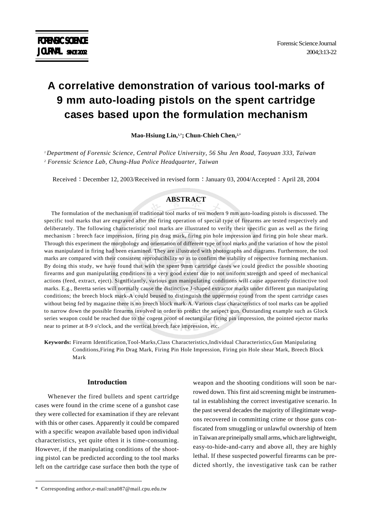# **A correlative demonstration of various tool-marks of 9 mm auto-loading pistols on the spent cartridge cases based upon the formulation mechanism**

**Mao-Hsiung Lin,1,\*; Chun-Chieh Chen,2,\***

*1 Department of Forensic Science, Central Police University, 56 Shu Jen Road, Taoyuan 333, Taiwan 2 Forensic Science Lab, Chung-Hua Police Headquarter, Taiwan*

Received : December 12, 2003/Received in revised form : January 03, 2004/Accepted : April 28, 2004

# **ABSTRACT**

The formulation of the mechanism of traditional tool marks of ten modern 9 mm auto-loading pistols is discussed. The specific tool marks that are engraved after the firing operation of special type of firearms are tested respectively and deliberately. The following characteristic tool marks are illustrated to verify their specific gun as well as the firing mechanism : breech face impression, firing pin drag mark, firing pin hole impression and firing pin hole shear mark. Through this experiment the morphology and orientation of different type of tool marks and the variation of how the pistol was manipulated in firing had been examined. They are illustrated with photographs and diagrams. Furthermore, the tool marks are compared with their consistent reproducibility so as to confirm the stability of respective forming mechanism. By doing this study, we have found that with the spent 9mm cartridge cases we could predict the possible shooting firearms and gun manipulating conditions to a very good extent due to not uniform strength and speed of mechanical actions (feed, extract, eject). Significantly, various gun manipulating conditions will cause apparently distinctive tool marks. E.g., Beretta series will normally cause the distinctive J-shaped extractor marks under different gun manipulating conditions; the breech block mark-A could beused to distinguish the uppermost round from the spent cartridge cases without being fed by magazine there is no breech block mark-A. Various class characteristics of tool marks can be applied to narrow down the possible firearms involved in order to predict the suspect gun. Outstanding example such as Glock series weapon could be reached due to the cogent proof of rectangular firing pin impression, the pointed ejector marks near to primer at 8-9 o'clock, and the vertical breech face impression, etc.

**Keywords:** Firearm Identification,Tool-Marks,Class Characteristics,Individual Characteristics,Gun Manipulating Conditions,Firing Pin Drag Mark, Firing Pin Hole Impression, Firing pin Hole shear Mark, Breech Block Mark

# **Introduction**

Whenever the fired bullets and spent cartridge cases were found in the crime scene of a gunshot case they were collected for examination if they are relevant with this or other cases. Apparently it could be compared with a specific weapon available based upon individual characteristics, yet quite often it is time-consuming. However, if the manipulating conditions of the shooting pistol can be predicted according to the tool marks left on the cartridge case surface then both the type of weapon and the shooting conditions will soon be narrowed down. This first aid screening might be instrumental in establishing the correct investigative scenario. In the past several decades the majority of illegitimate weapons recovered in committing crime or those guns confiscated from smuggling or unlawful ownership of htem in Taiwan are prineipally small arms, which are lightweight, easy-to-hide-and-carry and above all, they are highly lethal. If these suspected powerful firearms can be predicted shortly, the investigative task can be rather

<sup>\*</sup> Corresponding anthor,e-mail:una087@mail.cpu.edu.tw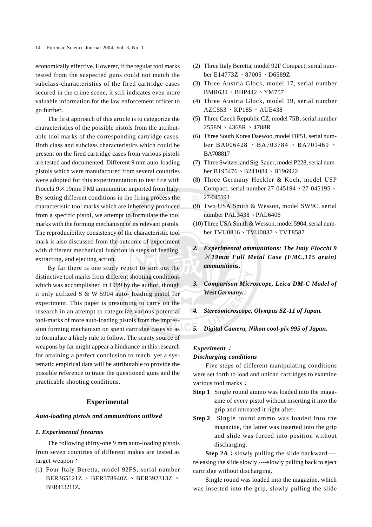economically effective. Howerer, if the regular tool marks tested from the suspected guns could not match the subclass-characteristics of the fired cartridge cases secured in the crime scene, it still indicates even more valuable information for the law enforcement officer to go further.

The first approach of this article is to categorize the characteristics of the possible pistols from the attributable tool marks of the corresponding cartridge cases. Both class and subclass characteristics which could be present on the fired cartridge cases from various pistols are tested and documented. Different 9 mm auto-loading pistols which were manufactured from several countries were adopted for this experimentation to test fire with Fiocchi  $9 \times 19$ mm FMJ ammunition imported from Italy. By setting different conditions in the firing process the characteristic tool marks which are inherently produced from a specific pistol, we attempt to formulate the tool marks with the forming mechanism of its relevant pistols. The reproducibility consistency of the characteristic tool mark is also discussed from the outcome of experiment with different mechanical function in steps of feeding, extracting, and ejecting action.

By far there is one study report to sort out the distinctive tool marks from different shooting conditions which was accomplished in 1999 by the author, though it only utilized S & W 5904 auto- loading pistol for experiment. This paper is presuming to carry on the research in an attempt to categorize various potential tool-marks of more auto-loading pistols from the impression forming mechanism on spent cartridge cases so as to formulate a likely rule to follow. The scanty source of weapons by far might appear a hindrance in this research for attaining a perfect conclusion to reach, yet a systematic empirical data will be attributable to provide the possible reference to trace the questioned guns and the practicable shooting conditions.

## **Experimental**

#### *Auto-loading pistols and ammunitions utilized*

#### *1. Experimental firearms*

The following thirty-one 9 mm auto-loading pistols from seven countries of different makes are tested as target weapon:

(1) Four Italy Beretta, model 92FS, serial number BER365121Z > BER378940Z > BER392313Z > BER413211Z.

- (2) Three Italy Beretta, model 92F Compact, serial number E14773Z \ 87005 \ D6589Z
- (3) Three Austria Glock, model 17, serial number BMR634 > BHP442 > YM757
- (4) Three Austria Glock, model 19, serial number AZC553 \ KP185 \ AUE438
- (5) Three Czech Republic CZ, model 75B, serial number  $2558N \cdot 4368R \cdot 4788R$
- (6) Three South Korea Daewoo, model DP51, serial number BA006428  $\cdot$  BA703784  $\cdot$  BA701469  $\cdot$ BA708817
- (7) Three Switzerland Sig-Sauer, model P228, serial number B195476 \ B241084 \ B196922
- (8) Three Germany Heckler & Koch, model USP Compact, serial number  $27-045194 \cdot 27-045195$ 27-045193
- (9) Two USA Smith & Wesson, model SW9C, serial number PAL3438 > PAL6406
- (10)Three USA Smith & Wesson, model 5904, serial number TVU0816 \TVU0837 \TVT8587
- *2. Experimental ammunitions: The Italy Fiocchi 9 19mm Full Metal Case (FMC,115 grain) ammunitions.*
- *3. Comparison Microscope, Leica DM-C Model of West Germany.*
- *4. Stereomicroscope, Olympus SZ-11 of Japan.*
- *5. Digital Camera, Nikon cool-pix 995 of Japan.*

### *Experiment*

## *Discharging conditions*

Five steps of different manipulating conditions were set forth to load and unload cartridges to examine various tool marks

- **Step 1** Single round ammo was loaded into the magazine of every pistol without inserting it into the grip and retreated it right after.
- **Step 2** Single round ammo was loaded into the magazine, the latter was inserted into the grip and slide was forced into position without discharging.

**Step 2A** : slowly pulling the slide backward---releasing the slide slowly ----slowly pulling back to eject cartridge without discharging.

Single round was loaded into the magazine, which was inserted into the grip, slowly pulling the slide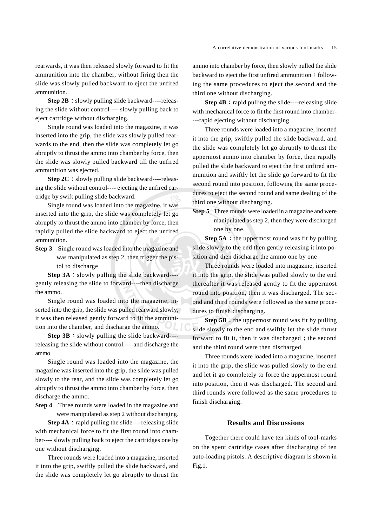rearwards, it was then released slowly forward to fit the ammunition into the chamber, without firing then the slide was slowly pulled backward to eject the unfired ammunition.

**Step 2B** : slowly pulling slide backward----releasing the slide without control---- slowly pulling back to eject cartridge without discharging.

Single round was loaded into the magazine, it was inserted into the grip, the slide was slowly pulled rearwards to the end, then the slide was completely let go abruptly to thrust the ammo into chamber by force, then the slide was slowly pulled backward till the unfired ammunition was ejected.

**Step 2C** : slowly pulling slide backward----releasing the slide without control---- ejecting the unfired cartridge by swift pulling slide backward.

Single round was loaded into the magazine, it was inserted into the grip, the slide was completely let go abruptly to thrust the ammo into chamber by force, then rapidly pulled the slide backward to eject the unfired ammunition.

**Step 3** Single round was loaded into the magazine and was manipulated as step 2, then trigger the pistol to discharge

**Step 3A** : slowly pulling the slide backward- $$ gently releasing the slide to forward----then discharge the ammo.

Single round was loaded into the magazine, inserted into the grip, the slide was pulled rearward slowly, it was then released gently forward to fit the ammunition into the chamber, and discharge the ammo.

**Step 3B**  $:$  slowly pulling the slide backward---releasing the slide without control ----and discharge the ammo

Single round was loaded into the magazine, the magazine was inserted into the grip, the slide was pulled slowly to the rear, and the slide was completely let go abruptly to thrust the ammo into chamber by force, then discharge the ammo.

**Step 4** Three rounds were loaded in the magazine and were manipulated as step 2 without discharging.

**Step 4A** : rapid pulling the slide----releasing slide with mechanical force to fit the first round into chamber---- slowly pulling back to eject the cartridges one by one without discharging.

Three rounds were loaded into a magazine, inserted it into the grip, swiftly pulled the slide backward, and the slide was completely let go abruptly to thrust the

ammo into chamber by force, then slowly pulled the slide backward to eject the first unfired ammunition ; following the same procedures to eject the second and the third one without discharging.

**Step 4B** : rapid pulling the slide----releasing slide with mechanical force to fit the first round into chamber- ---rapid ejecting without discharging

Three rounds were loaded into a magazine, inserted it into the grip, swiftly pulled the slide backward, and the slide was completely let go abruptly to thrust the uppermost ammo into chamber by force, then rapidly pulled the slide backward to eject the first unfired ammunition and swiftly let the slide go forward to fit the second round into position, following the same procedures to eject the second round and same dealing of the third one without discharging.

**Step 5** Three rounds were loaded in a magazine and were manipulated as step 2, then they were discharged one by one.

**Step 5A** : the uppermost round was fit by pulling slide slowly to the end then gently releasing it into position and then discharge the ammo one by one

Three rounds were loaded into magazine, inserted it into the grip, the slide was pulled slowly to the end thereafter it was released gently to fit the uppermost round into position, then it was discharged. The second and third rounds were followed as the same procedures to finish discharging.

**Step 5B** : the uppermost round was fit by pulling slide slowly to the end and swiftly let the slide thrust forward to fit it, then it was discharged  $\frac{1}{2}$  the second and the third round were then discharged.

Three rounds were loaded into a magazine, inserted it into the grip, the slide was pulled slowly to the end and let it go completely to force the uppermost round into position, then it was discharged. The second and third rounds were followed as the same procedures to finish discharging.

# **Results and Discussions**

Together there could have ten kinds of tool-marks on the spent cartridge cases after discharging of ten auto-loading pistols. A descriptive diagram is shown in Fig.1.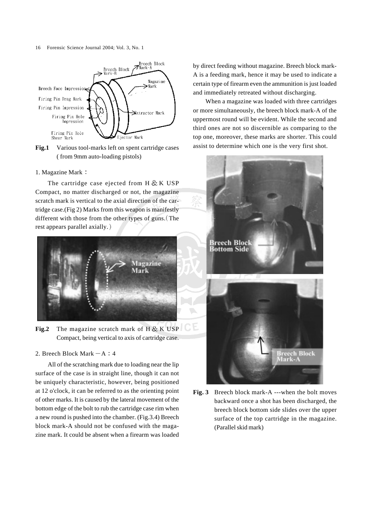16 Forensic Science Journal 2004; Vol. 3, No. 1



Fig.1 Various tool-marks left on spent cartridge cases ( from 9mm auto-loading pistols)

## 1. Magazine Mark

The cartridge case ejected from  $H \& K \text{ } USP$ Compact, no matter discharged or not, the magazine scratch mark is vertical to the axial direction of the cartridge case.(Fig 2) Marks from this weapon is manifestly different with those from the other types of guns. (The rest appears parallel axially.



**Fig.2** The magazine scratch mark of  $H \& K \text{ } USP$ Compact, being vertical to axis of cartridge case.

## 2. Breech Block Mark  $-A : 4$

All of the scratching mark due to loading near the lip surface of the case is in straight line, though it can not be uniquely characteristic, however, being positioned at 12 o'clock, it can be referred to as the orienting point of other marks. It is caused by the lateral movement of the bottom edge of the bolt to rub the cartridge case rim when a new round is pushed into the chamber. (Fig.3.4) Breech block mark-A should not be confused with the magazine mark. It could be absent when a firearm was loaded by direct feeding without magazine. Breech block mark-A is a feeding mark, hence it may be used to indicate a certain type of firearm even the ammunition is just loaded and immediately retreated without discharging.

When a magazine was loaded with three cartridges or more simultaneously, the breech block mark-A of the uppermost round will be evident. While the second and third ones are not so discernible as comparing to the top one, moreover, these marks are shorter. This could assist to determine which one is the very first shot.



**Fig. 3** Breech block mark-A ---when the bolt moves backward once a shot has been discharged, the breech block bottom side slides over the upper surface of the top cartridge in the magazine. (Parallel skid mark)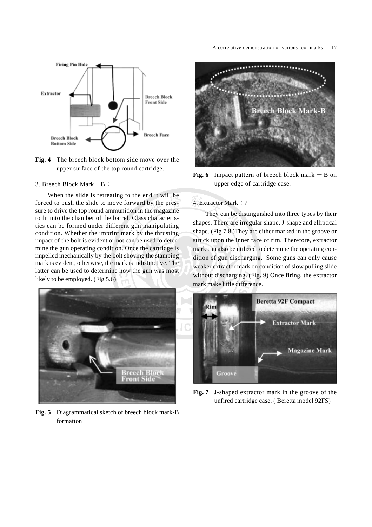

**Fig. 4** The breech block bottom side move over the upper surface of the top round cartridge.

3. Breech Block Mark  $-B$ :

When the slide is retreating to the end it will be forced to push the slide to move forward by the pressure to drive the top round ammunition in the magazine to fit into the chamber of the barrel. Class characteristics can be formed under different gun manipulating condition. Whether the imprint mark by the thrusting impact of the bolt is evident or not can be used to determine the gun operating condition. Once the cartridge is impelled mechanically by the bolt shoving the stamping mark is evident, otherwise, the mark is indistinctive. The latter can be used to determine how the gun was most likely to be employed. (Fig 5.6)



**Fig. 5** Diagrammatical sketch of breech block mark-B formation



**Fig. 6** Impact pattern of breech block mark  $-B$  on upper edge of cartridge case.

# 4. Extractor Mark : 7

They can be distinguished into three types by their shapes. There are irregular shape, J-shape and elliptical shape. (Fig 7.8 )They are either marked in the groove or struck upon the inner face of rim. Therefore, extractor mark can also be utilized to determine the operating condition of gun discharging. Some guns can only cause weaker extractor mark on condition of slow pulling slide without discharging. (Fig. 9) Once firing, the extractor mark make little difference.



**Fig. 7** J-shaped extractor mark in the groove of the unfired cartridge case. ( Beretta model 92FS)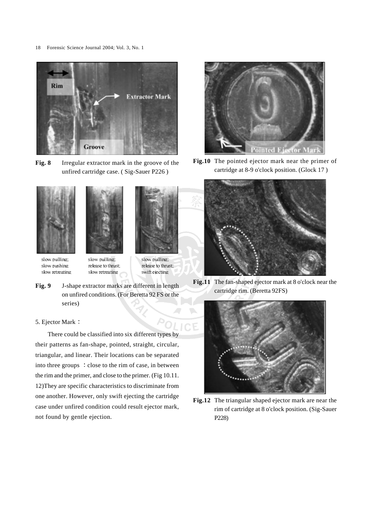18 Forensic Science Journal 2004; Vol. 3, No. 1



**Fig. 8** Irregular extractor mark in the groove of the unfired cartridge case. ( Sig-Sauer P226 )







slow pulling; slow pushing slow retreating slow pulling; release to thrust; slow retreating

slow pulling; release to thrust; swift ejecting

**Fig. 9** J-shape extractor marks are different in length on unfired conditions. (For Beretta 92 FS or the series)

## 5. Ejector Mark

There could be classified into six different types by their patterns as fan-shape, pointed, straight, circular, triangular, and linear. Their locations can be separated into three groups : close to the rim of case, in between the rim and the primer, and close to the primer. (Fig 10.11. 12)They are specific characteristics to discriminate from one another. However, only swift ejecting the cartridge case under unfired condition could result ejector mark, not found by gentle ejection.



**Fig.10** The pointed ejector mark near the primer of cartridge at 8-9 o'clock position. (Glock 17 )



**Fig.11** The fan-shaped ejector mark at 8 o'clock near the cartridge rim. (Beretta 92FS)



**Fig.12** The triangular shaped ejector mark are near the rim of cartridge at 8 o'clock position. (Sig-Sauer P228)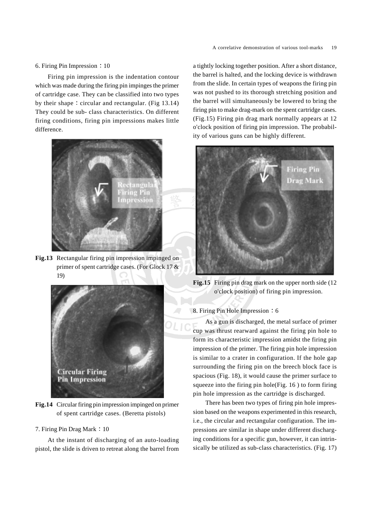#### 6. Firing Pin Impression  $\div 10$

Firing pin impression is the indentation contour which was made during the firing pin impinges the primer of cartridge case. They can be classified into two types by their shape: circular and rectangular. (Fig  $13.14$ ) They could be sub- class characteristics. On different firing conditions, firing pin impressions makes little difference.



**Fig.13** Rectangular firing pin impression impinged on primer of spent cartridge cases. (For Glock 17 & 19)



**Fig.14** Circular firing pin impression impinged on primer of spent cartridge cases. (Beretta pistols)

## 7. Firing Pin Drag Mark : 10

At the instant of discharging of an auto-loading pistol, the slide is driven to retreat along the barrel from a tightly locking together position. After a short distance, the barrel is halted, and the locking device is withdrawn from the slide. In certain types of weapons the firing pin was not pushed to its thorough stretching position and the barrel will simultaneously be lowered to bring the firing pin to make drag-mark on the spent cartridge cases. (Fig.15) Firing pin drag mark normally appears at 12 o'clock position of firing pin impression. The probability of various guns can be highly different.



**Fig.15** Firing pin drag mark on the upper north side (12) o'clock position) of firing pin impression.

#### 8. Firing Pin Hole Impression  $: 6$

As a gun is discharged, the metal surface of primer cup was thrust rearward against the firing pin hole to form its characteristic impression amidst the firing pin impression of the primer. The firing pin hole impression is similar to a crater in configuration. If the hole gap surrounding the firing pin on the breech block face is spacious (Fig. 18), it would cause the primer surface to squeeze into the firing pin hole(Fig. 16 ) to form firing pin hole impression as the cartridge is discharged.

There has been two types of firing pin hole impression based on the weapons experimented in this research, i.e., the circular and rectangular configuration. The impressions are similar in shape under different discharging conditions for a specific gun, however, it can intrinsically be utilized as sub-class characteristics. (Fig. 17)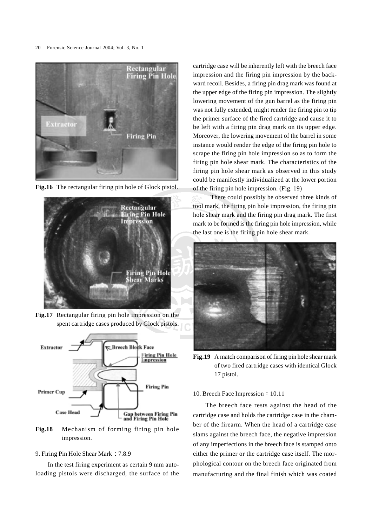20 Forensic Science Journal 2004; Vol. 3, No. 1



**Fig.16** The rectangular firing pin hole of Glock pistol.



**Fig.17** Rectangular firing pin hole impression on the spent cartridge cases produced by Glock pistols.



**Fig.18** Mechanism of forming firing pin hole impression.

#### 9. Firing Pin Hole Shear Mark: 7.8.9

In the test firing experiment as certain 9 mm autoloading pistols were discharged, the surface of the cartridge case will be inherently left with the breech face impression and the firing pin impression by the backward recoil. Besides, a firing pin drag mark was found at the upper edge of the firing pin impression. The slightly lowering movement of the gun barrel as the firing pin was not fully extended, might render the firing pin to tip the primer surface of the fired cartridge and cause it to be left with a firing pin drag mark on its upper edge. Moreover, the lowering movement of the barrel in some instance would render the edge of the firing pin hole to scrape the firing pin hole impression so as to form the firing pin hole shear mark. The characteristics of the firing pin hole shear mark as observed in this study could be manifestly individualized at the lower portion of the firing pin hole impression. (Fig. 19)

 There could possibly be observed three kinds of tool mark, the firing pin hole impression, the firing pin hole shear mark and the firing pin drag mark. The first mark to be formed is the firing pin hole impression, while the last one is the firing pin hole shear mark.



**Fig.19** A match comparison of firing pin hole shear mark of two fired cartridge cases with identical Glock 17 pistol.

## 10. Breech Face Impression: 10.11

The breech face rests against the head of the cartridge case and holds the cartridge case in the chamber of the firearm. When the head of a cartridge case slams against the breech face, the negative impression of any imperfections in the breech face is stamped onto either the primer or the cartridge case itself. The morphological contour on the breech face originated from manufacturing and the final finish which was coated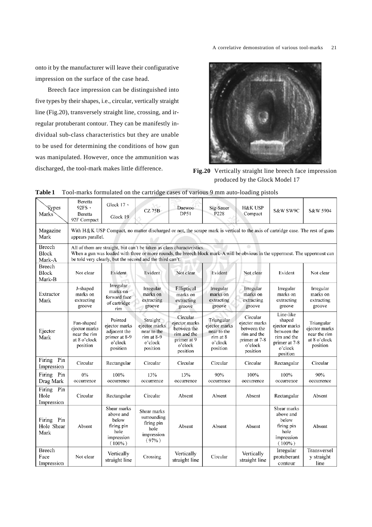onto it by the manufacturer will leave their configurative impression on the surface of the case head.

Breech face impression can be distinguished into five types by their shapes, i.e., circular, vertically straight line (Fig.20), transversely straight line, crossing, and irregular protuberant contour. They can be manifestly individual sub-class characteristics but they are unable to be used for determining the conditions of how gun was manipulated. However, once the ammunition was discharged, the tool-mark makes little difference. **Fig.20** Vertically straight line breech face impression



produced by the Glock Model 17

| танс т                                  |                                                                                                                                                                                                                                                                     |                                                                                    | Tool-marks formulated on the cartifuge cases of various 9 mm auto-loading pistols |                                                                                               |                                                                               |                                                                                                 |                                                                                                            |                                                                         |
|-----------------------------------------|---------------------------------------------------------------------------------------------------------------------------------------------------------------------------------------------------------------------------------------------------------------------|------------------------------------------------------------------------------------|-----------------------------------------------------------------------------------|-----------------------------------------------------------------------------------------------|-------------------------------------------------------------------------------|-------------------------------------------------------------------------------------------------|------------------------------------------------------------------------------------------------------------|-------------------------------------------------------------------------|
| <b>Types</b><br>Marks                   | Beretta<br>92FS<br>Beretta<br>92F Compact                                                                                                                                                                                                                           | Glock 17 ·<br>Glock 19                                                             | $CZ$ 75 $B$                                                                       | Daewoo<br>DP51                                                                                | Sig-Sauer<br>P228                                                             | <b>H&amp;K USP</b><br>Compact                                                                   | S&W SW9C                                                                                                   | S&W 5904                                                                |
| Magazine<br>Mark                        | With H&K USP Compact, no matter discharged or not, the scrape mark is vertical to the axis of cartridge case. The rest of guns<br>appears parallel.<br><b>A</b> Contract                                                                                            |                                                                                    |                                                                                   |                                                                                               |                                                                               |                                                                                                 |                                                                                                            |                                                                         |
| <b>Breech</b><br><b>Block</b><br>Mark-A | All of them are straight, but can't be taken as class characteristics.<br>When a gun was loaded with three or more rounds, the breech block mark-A will be obvious in the uppermost. The uppermost can<br>be told very clearly, but the second and the third can't. |                                                                                    |                                                                                   |                                                                                               |                                                                               |                                                                                                 |                                                                                                            |                                                                         |
| Breech<br><b>Block</b><br>Mark-B        | Not clear                                                                                                                                                                                                                                                           | Evident                                                                            | Evident                                                                           | Not clear                                                                                     | Evident                                                                       | Not clear                                                                                       | Evident                                                                                                    | Not clear                                                               |
| Extractor<br>Mark                       | J-shaped<br>marks on<br>extracting<br>groove                                                                                                                                                                                                                        | Irregular<br>marks on<br>forward face<br>of cartridge<br>rim                       | Irregular<br>marks on<br>extracting<br>groove                                     | Elliptical<br>marks on<br>extracting<br>groove                                                | Irregular<br>marks on<br>extracting<br>groove                                 | Irregular<br>marks on<br>extracting<br>groove                                                   | Irregular<br>marks on<br>extracting<br>groove                                                              | Irregular<br>marks on<br>extracting<br>groove                           |
| Ejector<br>Mark                         | Fan-shaped<br>ejector marks<br>near the rim<br>at 8 o'clock<br>position                                                                                                                                                                                             | Pointed<br>ejector marks<br>adjacent the<br>primer at 8-9<br>o'clock<br>position   | Straight<br>ejector marks<br>near to the<br>rim at 8-9<br>o'clock<br>position     | Circular<br>ejector marks<br>between the<br>rim and the<br>primer at 9<br>o'clock<br>position | Triangular<br>ejector marks<br>near to the<br>rim at 8<br>o'clock<br>position | Circular<br>ejector marks<br>between the<br>rim and the<br>primer at 7-8<br>o'clock<br>position | Line-like<br>shaped<br>ejector marks<br>between the<br>rim and the<br>primer at 7-8<br>o'clock<br>position | Triangular<br>ejector marks<br>near the rim<br>at 8 o'clock<br>position |
| Pin<br>Firing<br>Impression             | Circular                                                                                                                                                                                                                                                            | Rectangular                                                                        | Circular                                                                          | Circular                                                                                      | Circular                                                                      | Circular                                                                                        | Rectangular                                                                                                | Circular                                                                |
| Firing Pin<br>Drag Mark                 | 0%<br>occurrence                                                                                                                                                                                                                                                    | 100%<br>occurrence                                                                 | 13%<br>occurrence                                                                 | 13%<br>occurrence                                                                             | 90%<br>occurrence                                                             | 100%<br>occurrence                                                                              | 100%<br>occurrence                                                                                         | 90%<br>occurrence                                                       |
| Firing<br>Pin<br>Hole<br>Impression     | Circular                                                                                                                                                                                                                                                            | Rectangular                                                                        | Circular                                                                          | Absent                                                                                        | Absent                                                                        | Absent                                                                                          | Rectangular                                                                                                | Absent                                                                  |
| Firing Pin<br>Hole Shear<br>Mark        | Absent                                                                                                                                                                                                                                                              | Shear marks<br>above and<br>below<br>firing pin<br>hole<br>impression<br>$(100\%)$ | Shear marks<br>surrounding<br>firing pin<br>hole<br>impression<br>(97% )          | Absent                                                                                        | Absent                                                                        | Absent                                                                                          | Shear marks<br>above and<br>below<br>firing pin<br>hole<br>impression<br>$(100\%)$                         | Absent                                                                  |
| Breech<br>Face<br>Impression            | Not clear                                                                                                                                                                                                                                                           | Vertically<br>straight line                                                        | Crossing                                                                          | Vertically<br>straight line                                                                   | Circular                                                                      | Vertically<br>straight line                                                                     | Irregular<br>protuberant<br>contour                                                                        | Transversel<br>y straight<br>line                                       |

# **Table 1** Tool-marks formulated on the cartridge cases of various 9 mm auto-loading pistols